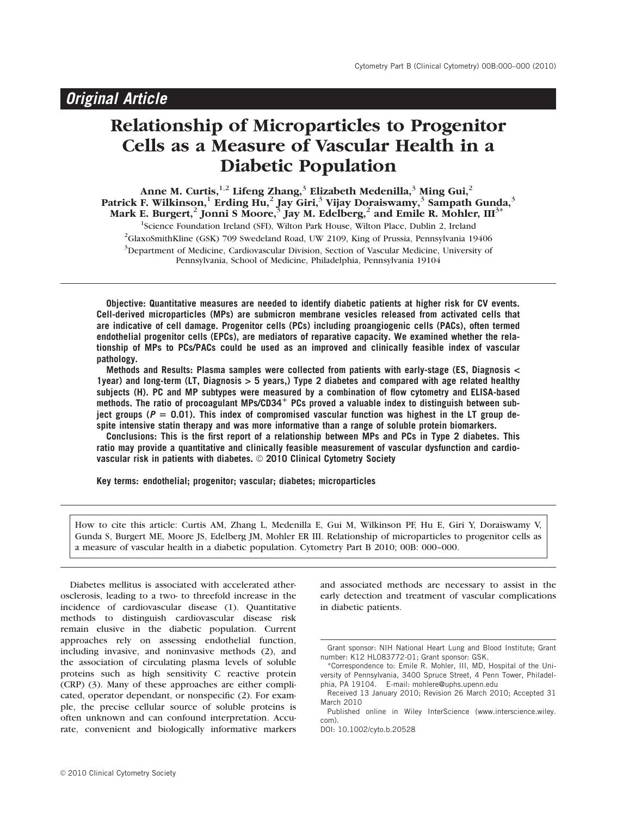# Relationship of Microparticles to Progenitor Cells as a Measure of Vascular Health in a Diabetic Population

Anne M. Curtis, $^{\rm 1,2}$  Lifeng Zhang, $^{\rm 3}$  Elizabeth Medenilla, $^{\rm 3}$  Ming Gui, $^{\rm 2}$ Patrick F. Wilkinson,<sup>1</sup> Erding Hu,<sup>2</sup> Jay Giri,<sup>3</sup> Vijay Doraiswamy,<sup>3</sup> Sampath Gunda,<sup>3</sup> Mark E. Burgert,<sup>2</sup> Jonni S Moore,<sup>3</sup> Jay M. Edelberg,<sup>2</sup> and Emile R. Mohler,  $III^{3*}$ 

<sup>1</sup>Science Foundation Ireland (SFI), Wilton Park House, Wilton Place, Dublin 2, Ireland <sup>2</sup>GlaxoSmithKline (GSK) 709 Swedeland Road, UW 2109, King of Prussia, Pennsylvania 19406 <sup>3</sup>Department of Medicine, Cardiovascular Division, Section of Vascular Medicine, University of Pennsylvania, School of Medicine, Philadelphia, Pennsylvania 19104

**Objective: Quantitative measures are needed to identify diabetic patients at higher risk for CV events. Cell-derived microparticles (MPs) are submicron membrane vesicles released from activated cells that are indicative of cell damage. Progenitor cells (PCs) including proangiogenic cells (PACs), often termed endothelial progenitor cells (EPCs), are mediators of reparative capacity. We examined whether the relationship of MPs to PCs/PACs could be used as an improved and clinically feasible index of vascular pathology.**

**Methods and Results: Plasma samples were collected from patients with early-stage (ES, Diagnosis** < **1year) and long-term (LT, Diagnosis** > **5 years,) Type 2 diabetes and compared with age related healthy subjects (H). PC and MP subtypes were measured by a combination of flow cytometry and ELISA-based** methods. The ratio of procoagulant MPs/CD34<sup>+</sup> PCs proved a valuable index to distinguish between subject groups ( $P = 0.01$ ). This index of compromised vascular function was highest in the LT group de**spite intensive statin therapy and was more informative than a range of soluble protein biomarkers.**

**Conclusions: This is the first report of a relationship between MPs and PCs in Type 2 diabetes. This ratio may provide a quantitative and clinically feasible measurement of vascular dysfunction and cardiovascular risk in patients with diabetes. © 2010 Clinical Cytometry Society** 

**Key terms: endothelial; progenitor; vascular; diabetes; microparticles**

How to cite this article: Curtis AM, Zhang L, Medenilla E, Gui M, Wilkinson PF, Hu E, Giri Y, Doraiswamy V, Gunda S, Burgert ME, Moore JS, Edelberg JM, Mohler ER III. Relationship of microparticles to progenitor cells as a measure of vascular health in a diabetic population. Cytometry Part B 2010; 00B: 000–000.

Diabetes mellitus is associated with accelerated atherosclerosis, leading to a two- to threefold increase in the incidence of cardiovascular disease (1). Quantitative methods to distinguish cardiovascular disease risk remain elusive in the diabetic population. Current approaches rely on assessing endothelial function, including invasive, and noninvasive methods (2), and the association of circulating plasma levels of soluble proteins such as high sensitivity C reactive protein (CRP) (3). Many of these approaches are either complicated, operator dependant, or nonspecific (2). For example, the precise cellular source of soluble proteins is often unknown and can confound interpretation. Accurate, convenient and biologically informative markers

and associated methods are necessary to assist in the early detection and treatment of vascular complications in diabetic patients.

Grant sponsor: NIH National Heart Lung and Blood Institute; Grant number: K12 HL083772-01; Grant sponsor: GSK.

<sup>\*</sup>Correspondence to: Emile R. Mohler, III, MD, Hospital of the University of Pennsylvania, 3400 Spruce Street, 4 Penn Tower, Philadelphia, PA 19104. E-mail: mohlere@uphs.upenn.edu

Received 13 January 2010; Revision 26 March 2010; Accepted 31 March 2010

Published online in Wiley InterScience (www.interscience.wiley. com).

DOI: 10.1002/cyto.b.20528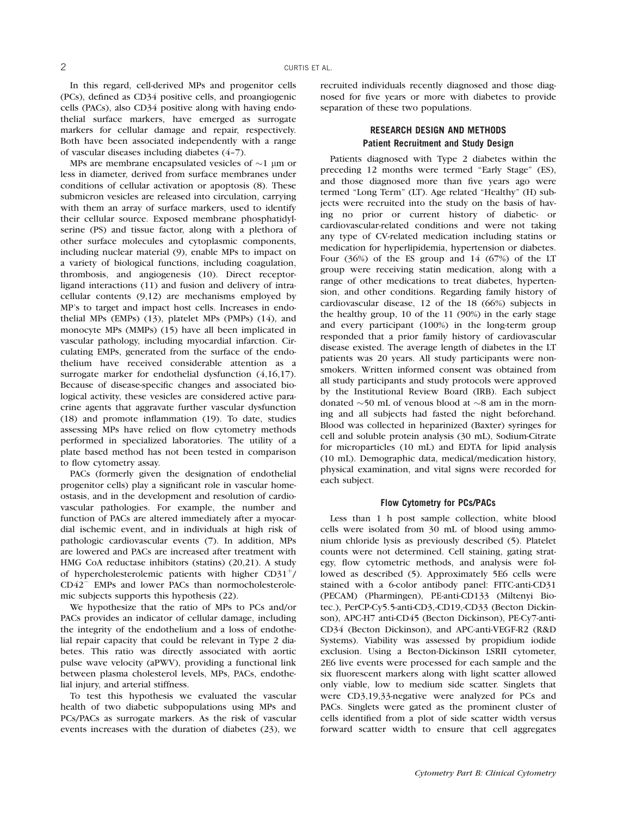In this regard, cell-derived MPs and progenitor cells (PCs), defined as CD34 positive cells, and proangiogenic cells (PACs), also CD34 positive along with having endothelial surface markers, have emerged as surrogate markers for cellular damage and repair, respectively. Both have been associated independently with a range of vascular diseases including diabetes (4–7).

MPs are membrane encapsulated vesicles of  $\sim$ 1 µm or less in diameter, derived from surface membranes under conditions of cellular activation or apoptosis (8). These submicron vesicles are released into circulation, carrying with them an array of surface markers, used to identify their cellular source. Exposed membrane phosphatidylserine (PS) and tissue factor, along with a plethora of other surface molecules and cytoplasmic components, including nuclear material (9), enable MPs to impact on a variety of biological functions, including coagulation, thrombosis, and angiogenesis (10). Direct receptorligand interactions (11) and fusion and delivery of intracellular contents (9,12) are mechanisms employed by MP's to target and impact host cells. Increases in endothelial MPs (EMPs) (13), platelet MPs (PMPs) (14), and monocyte MPs (MMPs) (15) have all been implicated in vascular pathology, including myocardial infarction. Circulating EMPs, generated from the surface of the endothelium have received considerable attention as a surrogate marker for endothelial dysfunction  $(4,16,17)$ . Because of disease-specific changes and associated biological activity, these vesicles are considered active paracrine agents that aggravate further vascular dysfunction (18) and promote inflammation (19). To date, studies assessing MPs have relied on flow cytometry methods performed in specialized laboratories. The utility of a plate based method has not been tested in comparison to flow cytometry assay.

PACs (formerly given the designation of endothelial progenitor cells) play a significant role in vascular homeostasis, and in the development and resolution of cardiovascular pathologies. For example, the number and function of PACs are altered immediately after a myocardial ischemic event, and in individuals at high risk of pathologic cardiovascular events (7). In addition, MPs are lowered and PACs are increased after treatment with HMG CoA reductase inhibitors (statins) (20,21). A study of hypercholesterolemic patients with higher  $CD31<sup>+</sup>/$ CD42<sup>-</sup> EMPs and lower PACs than normocholesterolemic subjects supports this hypothesis (22).

We hypothesize that the ratio of MPs to PCs and/or PACs provides an indicator of cellular damage, including the integrity of the endothelium and a loss of endothelial repair capacity that could be relevant in Type 2 diabetes. This ratio was directly associated with aortic pulse wave velocity (aPWV), providing a functional link between plasma cholesterol levels, MPs, PACs, endothelial injury, and arterial stiffness.

To test this hypothesis we evaluated the vascular health of two diabetic subpopulations using MPs and PCs/PACs as surrogate markers. As the risk of vascular events increases with the duration of diabetes (23), we

recruited individuals recently diagnosed and those diagnosed for five years or more with diabetes to provide separation of these two populations.

# **RESEARCH DESIGN AND METHODS Patient Recruitment and Study Design**

Patients diagnosed with Type 2 diabetes within the preceding 12 months were termed "Early Stage" (ES), and those diagnosed more than five years ago were termed ''Long Term'' (LT). Age related ''Healthy'' (H) subjects were recruited into the study on the basis of having no prior or current history of diabetic- or cardiovascular-related conditions and were not taking any type of CV-related medication including statins or medication for hyperlipidemia, hypertension or diabetes. Four  $(36\%)$  of the ES group and 14  $(67\%)$  of the LT group were receiving statin medication, along with a range of other medications to treat diabetes, hypertension, and other conditions. Regarding family history of cardiovascular disease, 12 of the 18 (66%) subjects in the healthy group, 10 of the 11 (90%) in the early stage and every participant (100%) in the long-term group responded that a prior family history of cardiovascular disease existed. The average length of diabetes in the LT patients was 20 years. All study participants were nonsmokers. Written informed consent was obtained from all study participants and study protocols were approved by the Institutional Review Board (IRB). Each subject donated  $\sim$ 50 mL of venous blood at  $\sim$ 8 am in the morning and all subjects had fasted the night beforehand. Blood was collected in heparinized (Baxter) syringes for cell and soluble protein analysis (30 mL), Sodium-Citrate for microparticles (10 mL) and EDTA for lipid analysis (10 mL). Demographic data, medical/medication history, physical examination, and vital signs were recorded for each subject.

#### **Flow Cytometry for PCs/PACs**

Less than 1 h post sample collection, white blood cells were isolated from 30 mL of blood using ammonium chloride lysis as previously described (5). Platelet counts were not determined. Cell staining, gating strategy, flow cytometric methods, and analysis were followed as described (5). Approximately 5E6 cells were stained with a 6-color antibody panel: FITC-anti-CD31 (PECAM) (Pharmingen), PE-anti-CD133 (Miltenyi Biotec.), PerCP-Cy5.5-anti-CD3,-CD19,-CD33 (Becton Dickinson), APC-H7 anti-CD45 (Becton Dickinson), PE-Cy7-anti-CD34 (Becton Dickinson), and APC-anti-VEGF-R2 (R&D Systems). Viability was assessed by propidium iodide exclusion. Using a Becton-Dickinson LSRII cytometer, 2E6 live events were processed for each sample and the six fluorescent markers along with light scatter allowed only viable, low to medium side scatter. Singlets that were CD3,19,33-negative were analyzed for PCs and PACs. Singlets were gated as the prominent cluster of cells identified from a plot of side scatter width versus forward scatter width to ensure that cell aggregates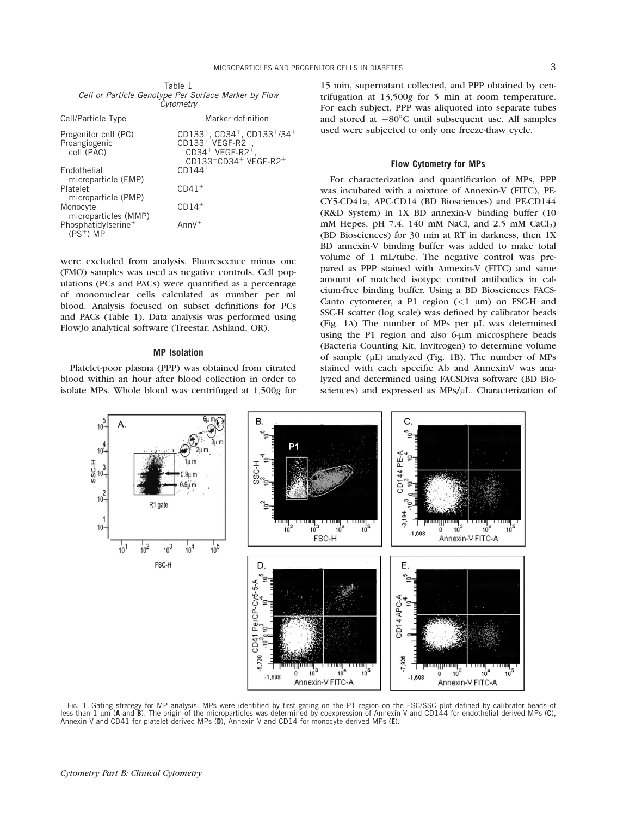| Table 1                                              |
|------------------------------------------------------|
| Cell or Particle Genotype Per Surface Marker by Flow |
| Cytometry                                            |

| - , . - <i>. ,</i>                                  |                                                                                                                                                                               |  |  |
|-----------------------------------------------------|-------------------------------------------------------------------------------------------------------------------------------------------------------------------------------|--|--|
| Cell/Particle Type                                  | Marker definition                                                                                                                                                             |  |  |
| Progenitor cell (PC)<br>Proangiogenic<br>cell (PAC) | CD133 <sup>+</sup> , CD34 <sup>+</sup> , CD133 <sup>+</sup> /34 <sup>+</sup><br>$CD133^{+}$ VEGF-R2 <sup>+</sup> ,<br>$CD34+VEGF-R2+$<br>$CD133^+CD34^+$ VEGF-R2 <sup>+</sup> |  |  |
| Endothelial<br>microparticle (EMP)                  | $CD144+$                                                                                                                                                                      |  |  |
| Platelet<br>microparticle (PMP)                     | $CD41+$                                                                                                                                                                       |  |  |
| Monocyte<br>microparticles (MMP)                    | $CD14+$                                                                                                                                                                       |  |  |
| Phosphatidylserine <sup>+</sup><br>$(PS^+)$ MP      | $AnnV^+$                                                                                                                                                                      |  |  |

were excluded from analysis. Fluorescence minus one (FMO) samples was used as negative controls. Cell populations (PCs and PACs) were quantified as a percentage of mononuclear cells calculated as number per ml blood. Analysis focused on subset definitions for PCs and PACs (Table 1). Data analysis was performed using FlowJo analytical software (Treestar, Ashland, OR).

#### **MP Isolation**

Platelet-poor plasma (PPP) was obtained from citrated blood within an hour after blood collection in order to isolate MPs. Whole blood was centrifuged at 1,500g for

15 min, supernatant collected, and PPP obtained by centrifugation at 13,500g for 5 min at room temperature. For each subject, PPP was aliquoted into separate tubes and stored at  $-80^{\circ}$ C until subsequent use. All samples used were subjected to only one freeze-thaw cycle.

# **Flow Cytometry for MPs**

For characterization and quantification of MPs, PPP was incubated with a mixture of Annexin-V (FITC), PE-CY5-CD41a, APC-CD14 (BD Biosciences) and PE-CD144 (R&D System) in 1X BD annexin-V binding buffer (10 mM Hepes, pH 7.4, 140 mM NaCl, and 2.5 mM  $CaCl<sub>2</sub>$ ) (BD Biosciences) for 30 min at RT in darkness, then 1X BD annexin-V binding buffer was added to make total volume of 1 mL/tube. The negative control was prepared as PPP stained with Annexin-V (FITC) and same amount of matched isotype control antibodies in calcium-free binding buffer. Using a BD Biosciences FACS-Canto cytometer, a P1 region  $(<1 \mu m)$  on FSC-H and SSC-H scatter (log scale) was defined by calibrator beads (Fig. 1A) The number of MPs per lL was determined using the P1 region and also 6-um microsphere beads (Bacteria Counting Kit, Invitrogen) to determine volume of sample  $(\mu L)$  analyzed (Fig. 1B). The number of MPs stained with each specific Ab and AnnexinV was analyzed and determined using FACSDiva software (BD Biosciences) and expressed as MPs/µL. Characterization of



FIG. 1. Gating strategy for MP analysis. MPs were identified by first gating on the P1 region on the FSC/SSC plot defined by calibrator beads of less than 1 lm (**A** and **B**). The origin of the microparticles was determined by coexpression of Annexin-V and CD144 for endothelial derived MPs (**C**), Annexin-V and CD41 for platelet-derived MPs (**D**), Annexin-V and CD14 for monocyte-derived MPs (**E**).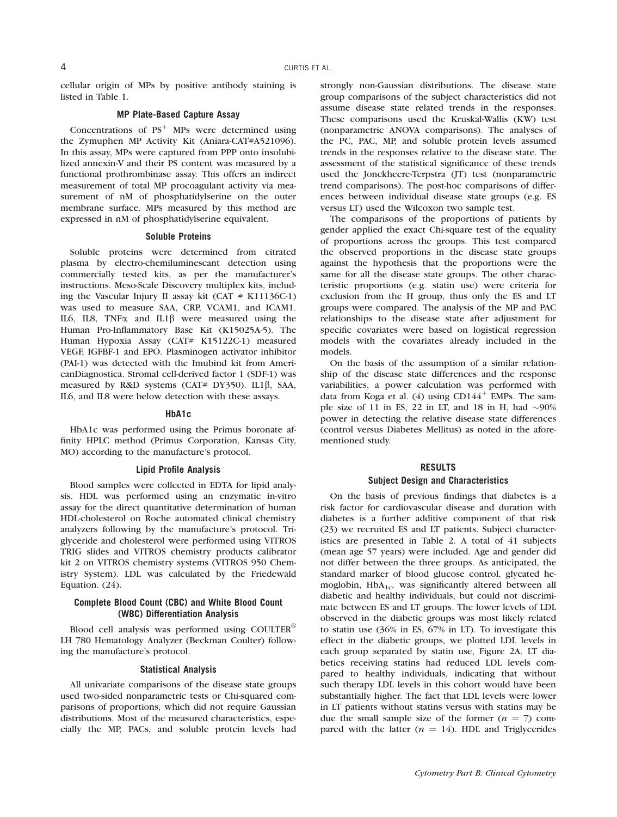cellular origin of MPs by positive antibody staining is listed in Table 1.

# **MP Plate-Based Capture Assay**

Concentrations of  $PS<sup>+</sup>$  MPs were determined using the Zymuphen MP Activity Kit (Aniara-CAT#A521096). In this assay, MPs were captured from PPP onto insolubilized annexin-V and their PS content was measured by a functional prothrombinase assay. This offers an indirect measurement of total MP procoagulant activity via measurement of nM of phosphatidylserine on the outer membrane surface. MPs measured by this method are expressed in nM of phosphatidylserine equivalent.

## **Soluble Proteins**

Soluble proteins were determined from citrated plasma by electro-chemiluminescant detection using commercially tested kits, as per the manufacturer's instructions. Meso-Scale Discovery multiplex kits, including the Vascular Injury II assay kit (CAT  $#$  K11136C-1) was used to measure SAA, CRP, VCAM1, and ICAM1. IL6, IL8, TNF $\alpha$  and IL1 $\beta$  were measured using the Human Pro-Inflammatory Base Kit (K15025A-5). The Human Hypoxia Assay (CAT# K15122C-1) measured VEGF, IGFBF-1 and EPO. Plasminogen activator inhibitor (PAI-1) was detected with the Imubind kit from AmericanDiagnostica. Stromal cell-derived factor 1 (SDF-1) was measured by R&D systems (CAT# DY350). IL1 $\beta$ , SAA, IL6, and IL8 were below detection with these assays.

#### **HbA1c**

HbA1c was performed using the Primus boronate affinity HPLC method (Primus Corporation, Kansas City, MO) according to the manufacture's protocol.

## **Lipid Profile Analysis**

Blood samples were collected in EDTA for lipid analysis. HDL was performed using an enzymatic in-vitro assay for the direct quantitative determination of human HDL-cholesterol on Roche automated clinical chemistry analyzers following by the manufacture's protocol. Triglyceride and cholesterol were performed using VITROS TRIG slides and VITROS chemistry products calibrator kit 2 on VITROS chemistry systems (VITROS 950 Chemistry System). LDL was calculated by the Friedewald Equation. (24).

# **Complete Blood Count (CBC) and White Blood Count (WBC) Differentiation Analysis**

Blood cell analysis was performed using COULTER<sup>®</sup> LH 780 Hematology Analyzer (Beckman Coulter) following the manufacture's protocol.

## **Statistical Analysis**

All univariate comparisons of the disease state groups used two-sided nonparametric tests or Chi-squared comparisons of proportions, which did not require Gaussian distributions. Most of the measured characteristics, especially the MP, PACs, and soluble protein levels had strongly non-Gaussian distributions. The disease state group comparisons of the subject characteristics did not assume disease state related trends in the responses. These comparisons used the Kruskal-Wallis (KW) test (nonparametric ANOVA comparisons). The analyses of the PC, PAC, MP, and soluble protein levels assumed trends in the responses relative to the disease state. The assessment of the statistical significance of these trends used the Jonckheere-Terpstra (JT) test (nonparametric trend comparisons). The post-hoc comparisons of differences between individual disease state groups (e.g. ES versus LT) used the Wilcoxon two sample test.

The comparisons of the proportions of patients by gender applied the exact Chi-square test of the equality of proportions across the groups. This test compared the observed proportions in the disease state groups against the hypothesis that the proportions were the same for all the disease state groups. The other characteristic proportions (e.g. statin use) were criteria for exclusion from the H group, thus only the ES and LT groups were compared. The analysis of the MP and PAC relationships to the disease state after adjustment for specific covariates were based on logistical regression models with the covariates already included in the models.

On the basis of the assumption of a similar relationship of the disease state differences and the response variabilities, a power calculation was performed with data from Koga et al. (4) using  $CD144<sup>+</sup>$  EMPs. The sample size of 11 in ES, 22 in LT, and 18 in H, had  $\sim$ 90% power in detecting the relative disease state differences (control versus Diabetes Mellitus) as noted in the aforementioned study.

# **RESULTS**

#### **Subject Design and Characteristics**

On the basis of previous findings that diabetes is a risk factor for cardiovascular disease and duration with diabetes is a further additive component of that risk (23) we recruited ES and LT patients. Subject characteristics are presented in Table 2. A total of 41 subjects (mean age 57 years) were included. Age and gender did not differ between the three groups. As anticipated, the standard marker of blood glucose control, glycated hemoglobin,  $HbA_{1c}$ , was significantly altered between all diabetic and healthy individuals, but could not discriminate between ES and LT groups. The lower levels of LDL observed in the diabetic groups was most likely related to statin use (36% in ES, 67% in LT). To investigate this effect in the diabetic groups, we plotted LDL levels in each group separated by statin use, Figure 2A. LT diabetics receiving statins had reduced LDL levels compared to healthy individuals, indicating that without such therapy LDL levels in this cohort would have been substantially higher. The fact that LDL levels were lower in LT patients without statins versus with statins may be due the small sample size of the former  $(n = 7)$  compared with the latter ( $n = 14$ ). HDL and Triglycerides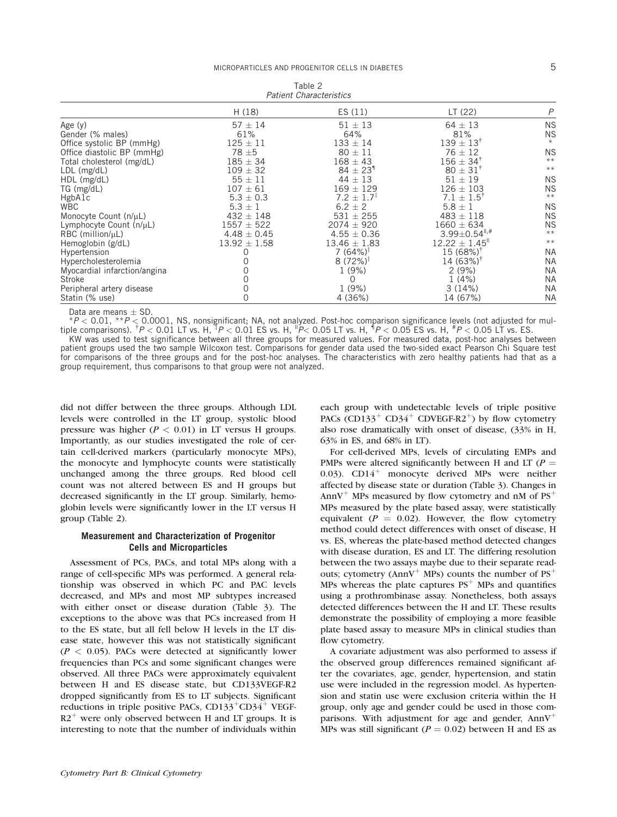|  |  | × |
|--|--|---|
|  |  |   |

| Patient Unaracteristics      |                  |                          |                                 |                 |
|------------------------------|------------------|--------------------------|---------------------------------|-----------------|
|                              | H(18)            | ES (11)                  | LT (22)                         | $\overline{P}$  |
| Age $(y)$                    | $57 \pm 14$      | $51 \pm 13$              | $64 \pm 13$                     | <b>NS</b>       |
| Gender (% males)             | 61%              | 64%                      | 81%                             | <b>NS</b>       |
| Office systolic BP (mmHg)    | $125 \pm 11$     | $133 \pm 14$             | $139 \pm 13^{\dagger}$          | $\star$         |
| Office diastolic BP (mmHg)   | $78 + 5$         | $80 \pm 11$              | $76 \pm 12$                     | <b>NS</b>       |
| Total cholesterol (mg/dL)    | $185 \pm 34$     | $168 \pm 43$             | $156 \pm 34^{\dagger}$          | $\star\,\star$  |
| $LDL$ (mg/dL)                | $109 \pm 32$     | $84 \pm 23$ <sup>1</sup> | $80 \pm 31^{\dagger}$           | $***$           |
| HDL (mg/dL)                  | $55 \pm 11$      | $44 \pm 13$              | $51 \pm 19$                     | <b>NS</b>       |
| $TG$ (mg/dL)                 | $107 \pm 61$     | $169 \pm 129$            | $126 \pm 103$                   | <b>NS</b>       |
| HgbA1c                       | $5.3 \pm 0.3$    | $7.2 \pm 1.7^{\ddagger}$ | $7.1 \pm 1.5^{\dagger}$         | $^{\star\star}$ |
| <b>WBC</b>                   | $5.3 \pm 1$      | $6.2 \pm 2$              | $5.8 \pm 1$                     | <b>NS</b>       |
| Monocyte Count $(n/\mu L)$   | $432 \pm 148$    | $531 \pm 255$            | $483 \pm 118$                   | NS              |
| Lymphocyte Count $(n/\mu L)$ | $1557 \pm 522$   | $2074 \pm 920$           | $1660 \pm 634$                  | <b>NS</b>       |
| $RBC$ (million/ $\mu L$ )    | $4.48 \pm 0.45$  | $4.55 \pm 0.36$          | $3.99 \pm 0.54$ <sup>11,#</sup> | $***$           |
| Hemoglobin (g/dL)            | $13.92 \pm 1.58$ | $13.46 \pm 1.83$         | $12.22 \pm 1.45$ <sup>"</sup>   | $**$            |
| Hypertension                 | 0                | 7 $(64\%)^{\ddagger}$    | $15(68\%)^{\dagger}$            | <b>NA</b>       |
| Hypercholesterolemia         | 0                | 8 (72%) <sup>‡</sup>     | 14 $(63\%)^{\dagger}$           | <b>NA</b>       |
| Myocardial infarction/angina |                  | 1(9%)                    | 2(9%)                           | <b>NA</b>       |
| Stroke                       |                  | 0                        | 1(4%)                           | <b>NA</b>       |
| Peripheral artery disease    |                  | 1(9%)                    | 3(14%)                          | <b>NA</b>       |
| Statin (% use)               | 0                | 4 (36%)                  | 14 (67%)                        | <b>NA</b>       |

Table 2 Patient Characteristics

Data are means ± SD.<br>\*P < 0.01, \*\*P < 0.0001, NS, nonsignificant; NA, not analyzed. Post-hoc comparison significance levels (not adjusted for multiple comparisons).  ${}^{\dagger}P < 0.01$  LT vs. H,  ${}^{\dagger}P < 0.01$  ES vs. H,  ${}^{\dagger}P < 0.05$  LT vs. H,  ${}^{\dagger}P < 0.05$  ES vs. H,  ${}^{\dagger}P < 0.05$  LT vs. ES.

KW was used to test significance between all three groups for measured values. For measured data, post-hoc analyses between patient groups used the two sample Wilcoxon test. Comparisons for gender data used the two-sided exact Pearson Chi Square test for comparisons of the three groups and for the post-hoc analyses. The characteristics with zero healthy patients had that as a group requirement, thus comparisons to that group were not analyzed.

did not differ between the three groups. Although LDL levels were controlled in the LT group, systolic blood pressure was higher ( $P < 0.01$ ) in LT versus H groups. Importantly, as our studies investigated the role of certain cell-derived markers (particularly monocyte MPs), the monocyte and lymphocyte counts were statistically unchanged among the three groups. Red blood cell count was not altered between ES and H groups but decreased significantly in the LT group. Similarly, hemoglobin levels were significantly lower in the LT versus H group (Table 2).

## **Measurement and Characterization of Progenitor Cells and Microparticles**

Assessment of PCs, PACs, and total MPs along with a range of cell-specific MPs was performed. A general relationship was observed in which PC and PAC levels decreased, and MPs and most MP subtypes increased with either onset or disease duration (Table 3). The exceptions to the above was that PCs increased from H to the ES state, but all fell below H levels in the LT disease state, however this was not statistically significant  $(P < 0.05)$ . PACs were detected at significantly lower frequencies than PCs and some significant changes were observed. All three PACs were approximately equivalent between H and ES disease state, but CD133VEGF-R2 dropped significantly from ES to LT subjects. Significant reductions in triple positive PACs,  $CD133<sup>+</sup>CD34<sup>+</sup>$  VEGF- $R2<sup>+</sup>$  were only observed between H and LT groups. It is interesting to note that the number of individuals within

each group with undetectable levels of triple positive PACs  $(CD133^+ CD34^+ CDVEGF-R2^+)$  by flow cytometry also rose dramatically with onset of disease, (33% in H, 63% in ES, and 68% in LT).

For cell-derived MPs, levels of circulating EMPs and PMPs were altered significantly between H and LT ( $P =$ 0.03).  $CD14^+$  monocyte derived MPs were neither affected by disease state or duration (Table 3). Changes in AnnV<sup>+</sup> MPs measured by flow cytometry and nM of  $PS<sup>+</sup>$ MPs measured by the plate based assay, were statistically equivalent ( $P = 0.02$ ). However, the flow cytometry method could detect differences with onset of disease, H vs. ES, whereas the plate-based method detected changes with disease duration, ES and LT. The differing resolution between the two assays maybe due to their separate readouts; cytometry (AnnV<sup>+</sup> MPs) counts the number of  $PS<sup>+</sup>$ MPs whereas the plate captures  $PS<sup>+</sup>$  MPs and quantifies using a prothrombinase assay. Nonetheless, both assays detected differences between the H and LT. These results demonstrate the possibility of employing a more feasible plate based assay to measure MPs in clinical studies than flow cytometry.

A covariate adjustment was also performed to assess if the observed group differences remained significant after the covariates, age, gender, hypertension, and statin use were included in the regression model. As hypertension and statin use were exclusion criteria within the H group, only age and gender could be used in those comparisons. With adjustment for age and gender,  $AnnV^+$ MPs was still significant ( $P = 0.02$ ) between H and ES as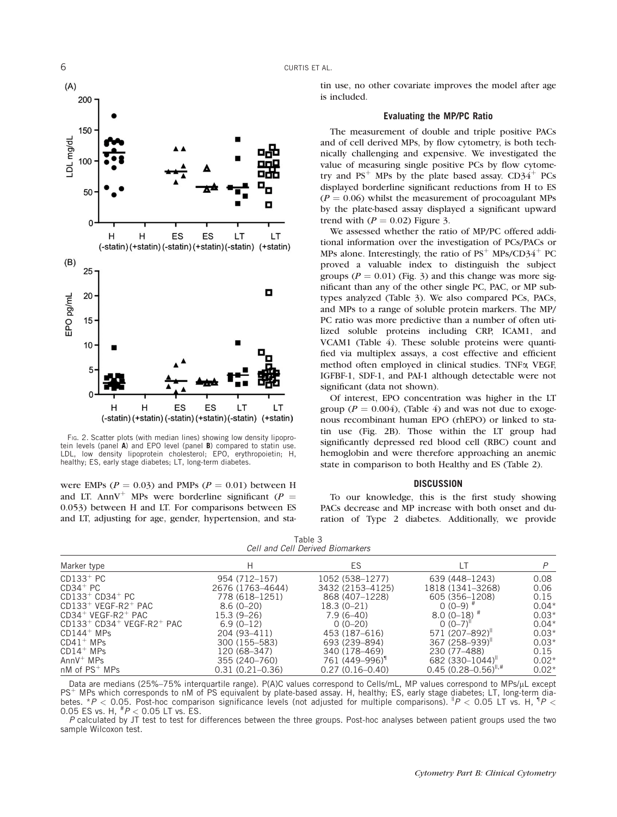



FIG. 2. Scatter plots (with median lines) showing low density lipoprotein levels (panel **A**) and EPO level (panel **B**) compared to statin use. LDL, low density lipoprotein cholesterol; EPO, erythropoietin; H, healthy; ES, early stage diabetes; LT, long-term diabetes.

were EMPs ( $P = 0.03$ ) and PMPs ( $P = 0.01$ ) between H and LT. AnnV<sup>+</sup> MPs were borderline significant ( $P =$ 0.053) between H and LT. For comparisons between ES and LT, adjusting for age, gender, hypertension, and statin use, no other covariate improves the model after age is included.

## **Evaluating the MP/PC Ratio**

The measurement of double and triple positive PACs and of cell derived MPs, by flow cytometry, is both technically challenging and expensive. We investigated the value of measuring single positive PCs by flow cytometry and  $PS<sup>+</sup>$  MPs by the plate based assay.  $CD34<sup>+</sup>$  PCs displayed borderline significant reductions from H to ES  $(P = 0.06)$  whilst the measurement of procoagulant MPs by the plate-based assay displayed a significant upward trend with  $(P = 0.02)$  Figure 3.

We assessed whether the ratio of MP/PC offered additional information over the investigation of PCs/PACs or MPs alone. Interestingly, the ratio of  $PS<sup>+</sup> MPs/CD34<sup>+</sup> PC$ proved a valuable index to distinguish the subject groups ( $P = 0.01$ ) (Fig. 3) and this change was more significant than any of the other single PC, PAC, or MP subtypes analyzed (Table 3). We also compared PCs, PACs, and MPs to a range of soluble protein markers. The MP/ PC ratio was more predictive than a number of often utilized soluble proteins including CRP, ICAM1, and VCAM1 (Table 4). These soluble proteins were quantified via multiplex assays, a cost effective and efficient method often employed in clinical studies. TNFa, VEGF, IGFBF-1, SDF-1, and PAI-1 although detectable were not significant (data not shown).

Of interest, EPO concentration was higher in the LT group ( $P = 0.004$ ), (Table 4) and was not due to exogenous recombinant human EPO (rhEPO) or linked to statin use (Fig. 2B). Those within the LT group had significantly depressed red blood cell (RBC) count and hemoglobin and were therefore approaching an anemic state in comparison to both Healthy and ES (Table 2).

#### **DISCUSSION**

To our knowledge, this is the first study showing PACs decrease and MP increase with both onset and duration of Type 2 diabetes. Additionally, we provide

| Table 3 |  |  |  |                                         |  |
|---------|--|--|--|-----------------------------------------|--|
|         |  |  |  | <b>Cell and Cell Derived Biomarkers</b> |  |

| Н                   | ES                         |                              |         |
|---------------------|----------------------------|------------------------------|---------|
| 954 (712–157)       | 1052 (538–1277)            | 639 (448–1243)               | 0.08    |
| 2676 (1763-4644)    | 3432 (2153-4125)           | 1818 (1341–3268)             | 0.06    |
| 778 (618–1251)      | 868 (407-1228)             | 605 (356-1208)               | 0.15    |
| $8.6(0-20)$         | $18.3(0 - 21)$             | $0(0-9)$ <sup>#</sup>        | $0.04*$ |
| $15.3(9 - 26)$      | $7.9(6-40)$                | $8.0(0-18)$ <sup>#</sup>     | $0.03*$ |
| $6.9(0-12)$         | $0(0-20)$                  | $0(0-7)$ <sup>"</sup>        | $0.04*$ |
| 204 (93-411)        | 453 (187-616)              | $571 (207 - 892)^{\text{T}}$ | $0.03*$ |
| 300 (155-583)       | 693 (239-894)              | $367 (258 - 939)$            | $0.03*$ |
| 120 (68–347)        | 340 (178–469)              | 230 (77-488)                 | 0.15    |
| 355 (240-760)       | 761 (449–996) <sup>1</sup> | 682 (330-1044)               | $0.02*$ |
| $0.31(0.21 - 0.36)$ | $0.27(0.16 - 0.40)$        | $0.45(0.28-0.56)^{11,#}$     | $0.02*$ |
|                     |                            |                              |         |

Data are medians (25%-75% interquartile range). P(A)C values correspond to Cells/mL, MP values correspond to MPs/µL except PS<sup>+</sup> MPs which corresponds to nM of PS equivalent by plate-based assay. H, healthy; ES, early stage diabetes; LT, long-term dia-<br>betes. \**P* < 0.05. Post-hoc comparison significance levels (not adjusted for multiple comp 0.05 ES vs. H,  $^{#}P < 0.05$  LT vs. ES.

P calculated by JT test to test for differences between the three groups. Post-hoc analyses between patient groups used the two sample Wilcoxon test.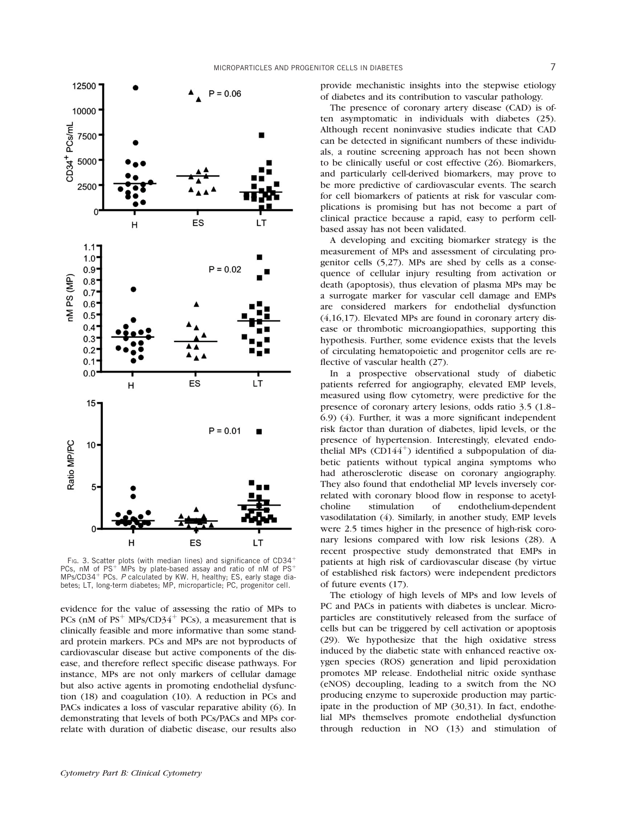

FIG. 3. Scatter plots (with median lines) and significance of  $CD34<sup>+</sup>$ PCs, nM of  $PS^+$  MPs by plate-based assay and ratio of nM of  $PS^+$  $MPs/CD34<sup>+</sup> PCs.$  P calculated by KW. H, healthy; ES, early stage diabetes; LT, long-term diabetes; MP, microparticle; PC, progenitor cell.

evidence for the value of assessing the ratio of MPs to PCs (nM of  $PS<sup>+</sup> MPs/CD34<sup>+</sup> PCs$ ), a measurement that is clinically feasible and more informative than some standard protein markers. PCs and MPs are not byproducts of cardiovascular disease but active components of the disease, and therefore reflect specific disease pathways. For instance, MPs are not only markers of cellular damage but also active agents in promoting endothelial dysfunction (18) and coagulation (10). A reduction in PCs and PACs indicates a loss of vascular reparative ability (6). In demonstrating that levels of both PCs/PACs and MPs correlate with duration of diabetic disease, our results also

provide mechanistic insights into the stepwise etiology of diabetes and its contribution to vascular pathology.

The presence of coronary artery disease (CAD) is often asymptomatic in individuals with diabetes (25). Although recent noninvasive studies indicate that CAD can be detected in significant numbers of these individuals, a routine screening approach has not been shown to be clinically useful or cost effective (26). Biomarkers, and particularly cell-derived biomarkers, may prove to be more predictive of cardiovascular events. The search for cell biomarkers of patients at risk for vascular complications is promising but has not become a part of clinical practice because a rapid, easy to perform cellbased assay has not been validated.

A developing and exciting biomarker strategy is the measurement of MPs and assessment of circulating progenitor cells (5,27). MPs are shed by cells as a consequence of cellular injury resulting from activation or death (apoptosis), thus elevation of plasma MPs may be a surrogate marker for vascular cell damage and EMPs are considered markers for endothelial dysfunction (4,16,17). Elevated MPs are found in coronary artery disease or thrombotic microangiopathies, supporting this hypothesis. Further, some evidence exists that the levels of circulating hematopoietic and progenitor cells are reflective of vascular health (27).

In a prospective observational study of diabetic patients referred for angiography, elevated EMP levels, measured using flow cytometry, were predictive for the presence of coronary artery lesions, odds ratio 3.5 (1.8– 6.9) (4). Further, it was a more significant independent risk factor than duration of diabetes, lipid levels, or the presence of hypertension. Interestingly, elevated endothelial MPs (CD144<sup>+</sup>) identified a subpopulation of diabetic patients without typical angina symptoms who had atherosclerotic disease on coronary angiography. They also found that endothelial MP levels inversely correlated with coronary blood flow in response to acetylcholine stimulation of endothelium-dependent vasodilatation (4). Similarly, in another study, EMP levels were 2.5 times higher in the presence of high-risk coronary lesions compared with low risk lesions (28). A recent prospective study demonstrated that EMPs in patients at high risk of cardiovascular disease (by virtue of established risk factors) were independent predictors of future events (17).

The etiology of high levels of MPs and low levels of PC and PACs in patients with diabetes is unclear. Microparticles are constitutively released from the surface of cells but can be triggered by cell activation or apoptosis (29). We hypothesize that the high oxidative stress induced by the diabetic state with enhanced reactive oxygen species (ROS) generation and lipid peroxidation promotes MP release. Endothelial nitric oxide synthase (eNOS) decoupling, leading to a switch from the NO producing enzyme to superoxide production may participate in the production of MP (30,31). In fact, endothelial MPs themselves promote endothelial dysfunction through reduction in NO (13) and stimulation of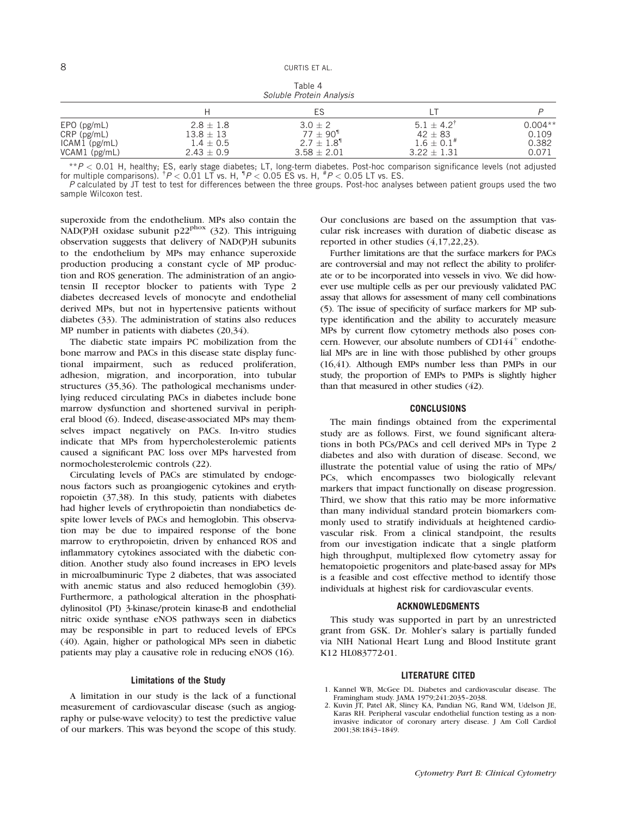|                                                                               |                                                                 | Table 4<br>Soluble Protein Analysis                                                  |                                                                                       |                                      |
|-------------------------------------------------------------------------------|-----------------------------------------------------------------|--------------------------------------------------------------------------------------|---------------------------------------------------------------------------------------|--------------------------------------|
|                                                                               | H                                                               | ES                                                                                   |                                                                                       |                                      |
| EPO(pg/mL)<br>$CRP$ ( $pg/mL$ )<br>$ICAM1$ ( $pg/mL$ )<br>$VCAM1$ ( $pg/mL$ ) | $2.8 + 1.8$<br>$13.8 \pm 13$<br>$1.4 \pm 0.5$<br>$2.43 \pm 0.9$ | $3.0 + 2$<br>$77 + 90$ <sup>1</sup><br>$2.7 \pm 1.8$ <sup>1</sup><br>$3.58 \pm 2.01$ | $5.1 + 4.2^{\dagger}$<br>$42 \pm 83$<br>$1.6 \pm 0.1$ <sup>#</sup><br>$3.22 \pm 1.31$ | $0.004**$<br>0.109<br>0.382<br>0.071 |

 $*P < 0.01$  H, healthy; ES, early stage diabetes; LT, long-term diabetes. Post-hoc comparison significance levels (not adjusted for multiple comparisons).  $^{\dagger}P < 0.01$  LT vs. H,  $^{\P}P < 0.05$  ES vs. H,  $^{\#}P < 0.05$  LT vs. ES.

P calculated by JT test to test for differences between the three groups. Post-hoc analyses between patient groups used the two sample Wilcoxon test.

superoxide from the endothelium. MPs also contain the NAD(P)H oxidase subunit  $p22^{pbox}$  (32). This intriguing observation suggests that delivery of NAD(P)H subunits to the endothelium by MPs may enhance superoxide production producing a constant cycle of MP production and ROS generation. The administration of an angiotensin II receptor blocker to patients with Type 2 diabetes decreased levels of monocyte and endothelial derived MPs, but not in hypertensive patients without diabetes (33). The administration of statins also reduces MP number in patients with diabetes (20,34).

The diabetic state impairs PC mobilization from the bone marrow and PACs in this disease state display functional impairment, such as reduced proliferation, adhesion, migration, and incorporation, into tubular structures (35,36). The pathological mechanisms underlying reduced circulating PACs in diabetes include bone marrow dysfunction and shortened survival in peripheral blood (6). Indeed, disease-associated MPs may themselves impact negatively on PACs. In-vitro studies indicate that MPs from hypercholesterolemic patients caused a significant PAC loss over MPs harvested from normocholesterolemic controls (22).

Circulating levels of PACs are stimulated by endogenous factors such as proangiogenic cytokines and erythropoietin (37,38). In this study, patients with diabetes had higher levels of erythropoietin than nondiabetics despite lower levels of PACs and hemoglobin. This observation may be due to impaired response of the bone marrow to erythropoietin, driven by enhanced ROS and inflammatory cytokines associated with the diabetic condition. Another study also found increases in EPO levels in microalbuminuric Type 2 diabetes, that was associated with anemic status and also reduced hemoglobin (39). Furthermore, a pathological alteration in the phosphatidylinositol (PI) 3-kinase/protein kinase-B and endothelial nitric oxide synthase eNOS pathways seen in diabetics may be responsible in part to reduced levels of EPCs (40). Again, higher or pathological MPs seen in diabetic patients may play a causative role in reducing eNOS (16).

#### **Limitations of the Study**

A limitation in our study is the lack of a functional measurement of cardiovascular disease (such as angiography or pulse-wave velocity) to test the predictive value of our markers. This was beyond the scope of this study.

Our conclusions are based on the assumption that vascular risk increases with duration of diabetic disease as reported in other studies (4,17,22,23).

Further limitations are that the surface markers for PACs are controversial and may not reflect the ability to proliferate or to be incorporated into vessels in vivo. We did however use multiple cells as per our previously validated PAC assay that allows for assessment of many cell combinations (5). The issue of specificity of surface markers for MP subtype identification and the ability to accurately measure MPs by current flow cytometry methods also poses concern. However, our absolute numbers of  $CD144<sup>+</sup>$  endothelial MPs are in line with those published by other groups (16,41). Although EMPs number less than PMPs in our study, the proportion of EMPs to PMPs is slightly higher than that measured in other studies (42).

#### **CONCLUSIONS**

The main findings obtained from the experimental study are as follows. First, we found significant alterations in both PCs/PACs and cell derived MPs in Type 2 diabetes and also with duration of disease. Second, we illustrate the potential value of using the ratio of MPs/ PCs, which encompasses two biologically relevant markers that impact functionally on disease progression. Third, we show that this ratio may be more informative than many individual standard protein biomarkers commonly used to stratify individuals at heightened cardiovascular risk. From a clinical standpoint, the results from our investigation indicate that a single platform high throughput, multiplexed flow cytometry assay for hematopoietic progenitors and plate-based assay for MPs is a feasible and cost effective method to identify those individuals at highest risk for cardiovascular events.

#### **ACKNOWLEDGMENTS**

This study was supported in part by an unrestricted grant from GSK. Dr. Mohler's salary is partially funded via NIH National Heart Lung and Blood Institute grant K12 HL083772-01.

## **LITERATURE CITED**

- 1. Kannel WB, McGee DL. Diabetes and cardiovascular disease. The Framingham study. JAMA 1979;241:2035–2038.
- 2. Kuvin JT, Patel AR, Sliney KA, Pandian NG, Rand WM, Udelson JE, Karas RH. Peripheral vascular endothelial function testing as a noninvasive indicator of coronary artery disease. J Am Coll Cardiol 2001;38:1843–1849.